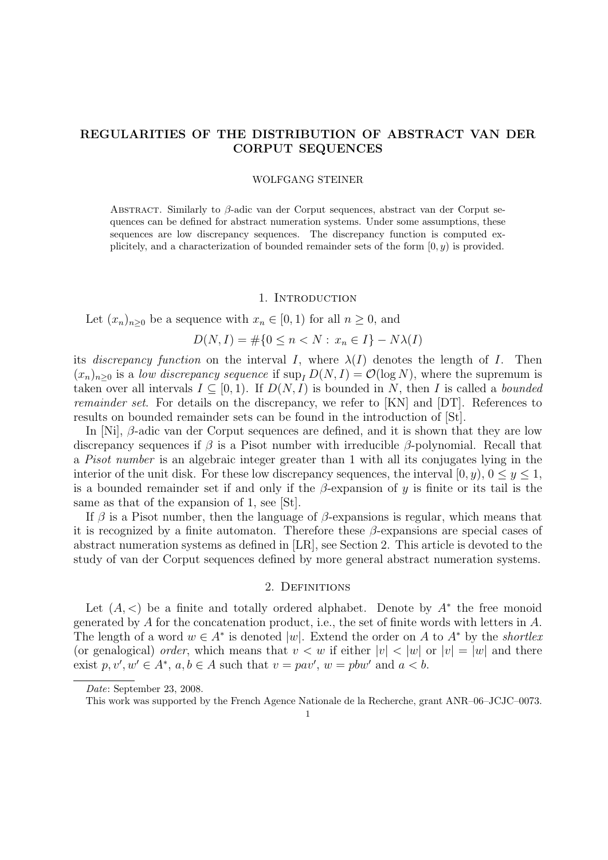# REGULARITIES OF THE DISTRIBUTION OF ABSTRACT VAN DER CORPUT SEQUENCES

#### WOLFGANG STEINER

Abstract. Similarly to β-adic van der Corput sequences, abstract van der Corput sequences can be defined for abstract numeration systems. Under some assumptions, these sequences are low discrepancy sequences. The discrepancy function is computed explicitely, and a characterization of bounded remainder sets of the form  $[0, y)$  is provided.

#### 1. INTRODUCTION

Let  $(x_n)_{n>0}$  be a sequence with  $x_n \in [0,1)$  for all  $n \geq 0$ , and

$$
D(N, I) = \# \{ 0 \le n < N : x_n \in I \} - N\lambda(I)
$$

its discrepancy function on the interval I, where  $\lambda(I)$  denotes the length of I. Then  $(x_n)_{n\geq 0}$  is a low discrepancy sequence if  $\sup_{I} D(N, I) = \mathcal{O}(\log N)$ , where the supremum is taken over all intervals  $I \subseteq [0, 1)$ . If  $D(N, I)$  is bounded in N, then I is called a bounded remainder set. For details on the discrepancy, we refer to [KN] and [DT]. References to results on bounded remainder sets can be found in the introduction of [St].

In [Ni], β-adic van der Corput sequences are defined, and it is shown that they are low discrepancy sequences if  $\beta$  is a Pisot number with irreducible  $\beta$ -polynomial. Recall that a Pisot number is an algebraic integer greater than 1 with all its conjugates lying in the interior of the unit disk. For these low discrepancy sequences, the interval  $[0, y)$ ,  $0 \le y \le 1$ , is a bounded remainder set if and only if the  $\beta$ -expansion of y is finite or its tail is the same as that of the expansion of 1, see [St].

If  $\beta$  is a Pisot number, then the language of  $\beta$ -expansions is regular, which means that it is recognized by a finite automaton. Therefore these  $\beta$ -expansions are special cases of abstract numeration systems as defined in [LR], see Section 2. This article is devoted to the study of van der Corput sequences defined by more general abstract numeration systems.

#### 2. DEFINITIONS

Let  $(A, \leq)$  be a finite and totally ordered alphabet. Denote by  $A^*$  the free monoid generated by  $A$  for the concatenation product, i.e., the set of finite words with letters in  $A$ . The length of a word  $w \in A^*$  is denoted |w|. Extend the order on A to  $A^*$  by the *shortlex* (or genalogical) order, which means that  $v < w$  if either  $|v| < |w|$  or  $|v| = |w|$  and there exist  $p, v', w' \in A^*, a, b \in A$  such that  $v = p a v', w = p b w'$  and  $a < b$ .

Date: September 23, 2008.

This work was supported by the French Agence Nationale de la Recherche, grant ANR–06–JCJC–0073.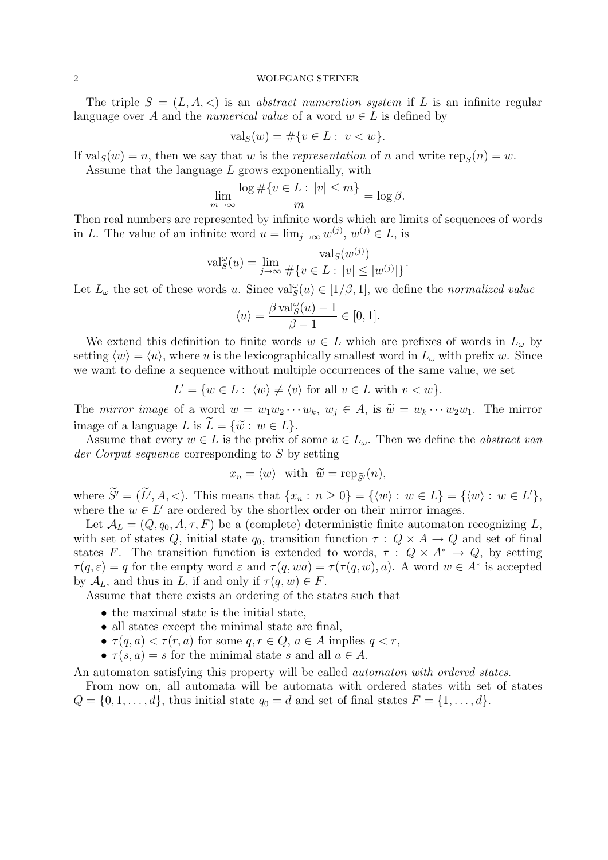The triple  $S = (L, A, \langle)$  is an *abstract numeration system* if L is an infinite regular language over A and the numerical value of a word  $w \in L$  is defined by

$$
\text{val}_S(w) = \# \{ v \in L : \ v < w \}.
$$

If  $\text{val}_S(w) = n$ , then we say that w is the *representation* of n and write  $\text{rep}_S(n) = w$ .

Assume that the language  $L$  grows exponentially, with

$$
\lim_{m \to \infty} \frac{\log \# \{ v \in L : |v| \le m \}}{m} = \log \beta.
$$

Then real numbers are represented by infinite words which are limits of sequences of words in L. The value of an infinite word  $u = \lim_{j \to \infty} w^{(j)}$ ,  $w^{(j)} \in L$ , is

$$
\text{val}_{S}^{\omega}(u) = \lim_{j \to \infty} \frac{\text{val}_{S}(w^{(j)})}{\# \{v \in L : |v| \le |w^{(j)}|\}}.
$$

Let  $L_{\omega}$  the set of these words u. Since  $val_{S}^{\omega}(u) \in [1/\beta, 1]$ , we define the normalized value

$$
\langle u \rangle = \frac{\beta \operatorname{val}_{S}^{\omega}(u) - 1}{\beta - 1} \in [0, 1].
$$

We extend this definition to finite words  $w \in L$  which are prefixes of words in  $L_{\omega}$  by setting  $\langle w \rangle = \langle u \rangle$ , where u is the lexicographically smallest word in  $L_{\omega}$  with prefix w. Since we want to define a sequence without multiple occurrences of the same value, we set

$$
L' = \{ w \in L : \langle w \rangle \neq \langle v \rangle \text{ for all } v \in L \text{ with } v < w \}.
$$

The mirror image of a word  $w = w_1w_2\cdots w_k$ ,  $w_j \in A$ , is  $\widetilde{w} = w_k\cdots w_2w_1$ . The mirror image of a language L is  $\tilde{L} = {\tilde{w}: w \in L}.$ 

Assume that every  $w \in L$  is the prefix of some  $u \in L_{\omega}$ . Then we define the abstract van der Corput sequence corresponding to S by setting

$$
x_n = \langle w \rangle
$$
 with  $\widetilde{w} = \text{rep}_{\widetilde{S}'}(n)$ ,

where  $\widetilde{S}' = (\widetilde{L}', A, <)$ . This means that  $\{x_n : n \geq 0\} = \{\langle w \rangle : w \in L\} = \{\langle w \rangle : w \in L'\},\$ where the  $w \in L'$  are ordered by the shortlex order on their mirror images.

Let  $\mathcal{A}_L = (Q, q_0, A, \tau, F)$  be a (complete) deterministic finite automaton recognizing L, with set of states Q, initial state  $q_0$ , transition function  $\tau: Q \times A \rightarrow Q$  and set of final states F. The transition function is extended to words,  $\tau : Q \times A^* \to Q$ , by setting  $\tau(q,\varepsilon) = q$  for the empty word  $\varepsilon$  and  $\tau(q, wa) = \tau(\tau(q, w), a)$ . A word  $w \in A^*$  is accepted by  $\mathcal{A}_L$ , and thus in L, if and only if  $\tau(q, w) \in F$ .

Assume that there exists an ordering of the states such that

- the maximal state is the initial state,
- all states except the minimal state are final,
- $\tau(q, a) < \tau(r, a)$  for some  $q, r \in Q, a \in A$  implies  $q < r$ ,
- $\tau(s, a) = s$  for the minimal state s and all  $a \in A$ .

An automaton satisfying this property will be called automaton with ordered states.

From now on, all automata will be automata with ordered states with set of states  $Q = \{0, 1, \ldots, d\}$ , thus initial state  $q_0 = d$  and set of final states  $F = \{1, \ldots, d\}$ .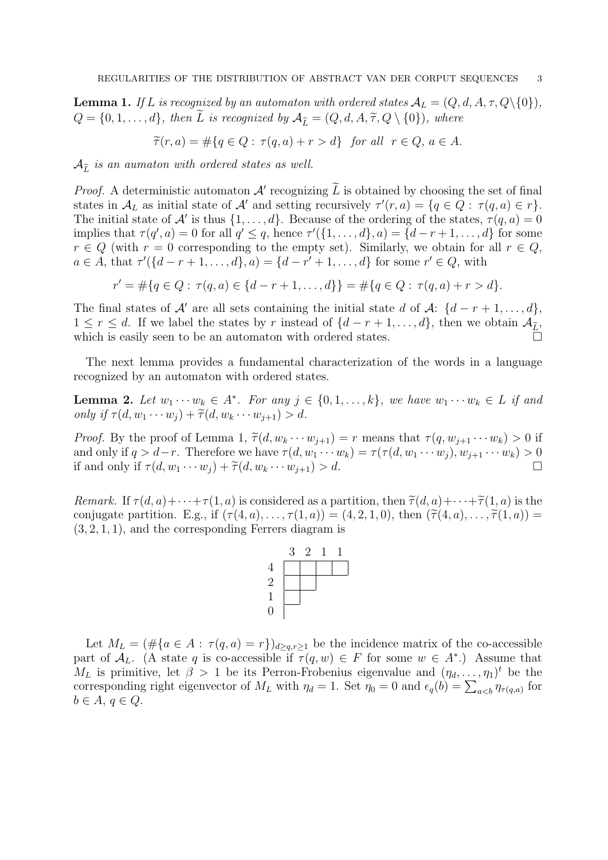**Lemma 1.** If L is recognized by an automaton with ordered states  $A_L = (Q, d, A, \tau, Q \setminus \{0\}),$  $Q = \{0, 1, \ldots, d\}$ , then L is recognized by  $\mathcal{A}_{\widetilde{L}} = (Q, d, A, \widetilde{\tau}, Q \setminus \{0\})$ , where

$$
\widetilde{\tau}(r,a) = \#\{q \in Q : \tau(q,a) + r > d\} \text{ for all } r \in Q, a \in A.
$$

 $\mathcal{A}_{\tilde{L}}$  is an aumaton with ordered states as well.

*Proof.* A deterministic automaton  $\mathcal{A}'$  recognizing  $\overline{L}$  is obtained by choosing the set of final states in  $\mathcal{A}_L$  as initial state of  $\mathcal{A}'$  and setting recursively  $\tau'(r, a) = \{q \in Q : \tau(q, a) \in r\}.$ The initial state of  $\mathcal{A}'$  is thus  $\{1, \ldots, d\}$ . Because of the ordering of the states,  $\tau(q, a) = 0$ implies that  $\tau(q', a) = 0$  for all  $q' \leq q$ , hence  $\tau'(\{1, \ldots, d\}, a) = \{d - r + 1, \ldots, d\}$  for some  $r \in Q$  (with  $r = 0$  corresponding to the empty set). Similarly, we obtain for all  $r \in Q$ ,  $a \in A$ , that  $\tau'(\{d-r+1,\ldots,d\}, a) = \{d-r'+1,\ldots,d\}$  for some  $r' \in Q$ , with

$$
r' = \#\{q \in Q : \tau(q, a) \in \{d - r + 1, \dots, d\}\} = \#\{q \in Q : \tau(q, a) + r > d\}.
$$

The final states of A' are all sets containing the initial state d of A:  $\{d-r+1,\ldots,d\}$ ,  $1 \leq r \leq d$ . If we label the states by r instead of  $\{d-r+1,\ldots,d\}$ , then we obtain  $\mathcal{A}_{\tilde{L}}$ , which is easily seen to be an automaton with ordered states.

The next lemma provides a fundamental characterization of the words in a language recognized by an automaton with ordered states.

**Lemma 2.** Let  $w_1 \cdots w_k \in A^*$ . For any  $j \in \{0, 1, \ldots, k\}$ , we have  $w_1 \cdots w_k \in L$  if and only if  $\tau(d, w_1 \cdots w_i) + \widetilde{\tau}(d, w_k \cdots w_{i+1}) > d$ .

*Proof.* By the proof of Lemma 1,  $\tilde{\tau}(d, w_k \cdots w_{j+1}) = r$  means that  $\tau(q, w_{j+1} \cdots w_k) > 0$  if and only if  $q > d-r$ . Therefore we have  $\tau(d, w_1 \cdots w_k) = \tau(\tau(d, w_1 \cdots w_i), w_{i+1} \cdots w_k) > 0$ if and only if  $\tau(d, w_1 \cdots w_j) + \tilde{\tau}(d, w_k \cdots w_{j+1}) > d$ .

Remark. If  $\tau(d, a) + \cdots + \tau(1, a)$  is considered as a partition, then  $\tilde{\tau}(d, a) + \cdots + \tilde{\tau}(1, a)$  is the conjugate partition. E.g., if  $(\tau(4, a), \ldots, \tau(1, a)) = (4, 2, 1, 0)$ , then  $(\tilde{\tau}(4, a), \ldots, \tilde{\tau}(1, a)) =$  $(3, 2, 1, 1)$ , and the corresponding Ferrers diagram is



Let  $M_L = (\# \{a \in A : \tau(q, a) = r\})_{d \ge q, r \ge 1}$  be the incidence matrix of the co-accessible part of  $\mathcal{A}_L$ . (A state q is co-accessible if  $\tau(q, w) \in F$  for some  $w \in A^*$ .) Assume that  $M_L$  is primitive, let  $\beta > 1$  be its Perron-Frobenius eigenvalue and  $(\eta_d, \ldots, \eta_1)^t$  be the corresponding right eigenvector of  $M_L$  with  $\eta_d = 1$ . Set  $\eta_0 = 0$  and  $\epsilon_q(b) = \sum_{a for$  $b \in A, q \in Q.$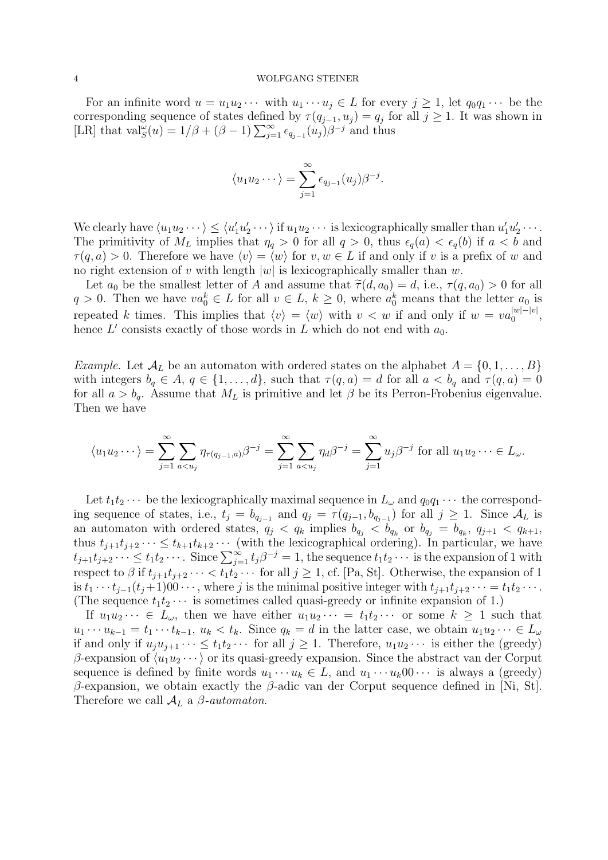For an infinite word  $u = u_1u_2\cdots$  with  $u_1\cdots u_j \in L$  for every  $j \geq 1$ , let  $q_0q_1\cdots$  be the corresponding sequence of states defined by  $\tau(q_{j-1}, u_j) = q_j$  for all  $j \geq 1$ . It was shown in [LR] that  $\text{val}_{S}^{\omega}(u) = 1/\beta + (\beta - 1) \sum_{j=1}^{\infty} \epsilon_{q_{j-1}}(u_j) \beta^{-j}$  and thus

$$
\langle u_1 u_2 \cdots \rangle = \sum_{j=1}^{\infty} \epsilon_{q_{j-1}}(u_j) \beta^{-j}.
$$

We clearly have  $\langle u_1 u_2 \cdots \rangle \le \langle u'_1 u'_2 \cdots \rangle$  if  $u_1 u_2 \cdots$  is lexicographically smaller than  $u'_1 u'_2 \cdots$ . The primitivity of  $M_L$  implies that  $\eta_q > 0$  for all  $q > 0$ , thus  $\epsilon_q(a) < \epsilon_q(b)$  if  $a < b$  and  $\tau(q, a) > 0$ . Therefore we have  $\langle v \rangle = \langle w \rangle$  for  $v, w \in L$  if and only if v is a prefix of w and no right extension of v with length  $|w|$  is lexicographically smaller than w.

Let  $a_0$  be the smallest letter of A and assume that  $\tilde{\tau}(d, a_0) = d$ , i.e.,  $\tau(q, a_0) > 0$  for all  $q > 0$ . Then we have  $va_0^k \in L$  for all  $v \in L$ ,  $k \geq 0$ , where  $a_0^k$  means that the letter  $a_0$  is repeated k times. This implies that  $\langle v \rangle = \langle w \rangle$  with  $v < w$  if and only if  $w = va_0^{|w|-|v|}$  $\frac{|w|-|v|}{0},$ hence  $L'$  consists exactly of those words in  $L$  which do not end with  $a_0$ .

*Example.* Let  $\mathcal{A}_L$  be an automaton with ordered states on the alphabet  $A = \{0, 1, \ldots, B\}$ with integers  $b_q \in A$ ,  $q \in \{1, ..., d\}$ , such that  $\tau(q, a) = d$  for all  $a < b_q$  and  $\tau(q, a) = 0$ for all  $a > b_q$ . Assume that  $M_L$  is primitive and let  $\beta$  be its Perron-Frobenius eigenvalue. Then we have

$$
\langle u_1 u_2 \cdots \rangle = \sum_{j=1}^{\infty} \sum_{a < u_j} \eta_{\tau(q_{j-1},a)} \beta^{-j} = \sum_{j=1}^{\infty} \sum_{a < u_j} \eta_{d} \beta^{-j} = \sum_{j=1}^{\infty} u_j \beta^{-j} \text{ for all } u_1 u_2 \cdots \in L_{\omega}.
$$

Let  $t_1t_2 \cdots$  be the lexicographically maximal sequence in  $L_\omega$  and  $q_0q_1 \cdots$  the corresponding sequence of states, i.e.,  $t_j = b_{q_{j-1}}$  and  $q_j = \tau(q_{j-1}, b_{q_{j-1}})$  for all  $j \ge 1$ . Since  $\mathcal{A}_L$  is an automaton with ordered states,  $q_j < q_k$  implies  $b_{q_j} < b_{q_k}$  or  $b_{q_j} = b_{q_k}, q_{j+1} < q_{k+1}$ , thus  $t_{j+1}t_{j+2}\cdots \leq t_{k+1}t_{k+2}\cdots$  (with the lexicographical ordering). In particular, we have  $t_{j+1}t_{j+2}\cdots \leq t_1t_2\cdots$ . Since  $\sum_{j=1}^{\infty}t_j\beta^{-j}=1$ , the sequence  $t_1t_2\cdots$  is the expansion of 1 with respect to  $\beta$  if  $t_{j+1}t_{j+2}\cdots < t_1t_2\cdots$  for all  $j\geq 1$ , cf. [Pa, St]. Otherwise, the expansion of 1 is  $t_1 \cdots t_{j-1}(t_j+1)00 \cdots$ , where j is the minimal positive integer with  $t_{j+1}t_{j+2} \cdots = t_1t_2 \cdots$ . (The sequence  $t_1t_2 \cdots$  is sometimes called quasi-greedy or infinite expansion of 1.)

If  $u_1u_2\cdots \in L_\omega$ , then we have either  $u_1u_2\cdots = t_1t_2\cdots$  or some  $k\geq 1$  such that  $u_1 \cdots u_{k-1} = t_1 \cdots t_{k-1}, u_k < t_k$ . Since  $q_k = d$  in the latter case, we obtain  $u_1 u_2 \cdots \in L_\omega$ if and only if  $u_iu_{i+1}\cdots \leq t_1t_2\cdots$  for all  $j\geq 1$ . Therefore,  $u_1u_2\cdots$  is either the (greedy) β-expansion of  $\langle u_1u_2\cdots\rangle$  or its quasi-greedy expansion. Since the abstract van der Corput sequence is defined by finite words  $u_1 \cdots u_k \in L$ , and  $u_1 \cdots u_k 0 \cdots$  is always a (greedy) β-expansion, we obtain exactly the β-adic van der Corput sequence defined in [Ni, St]. Therefore we call  $A_L$  a  $\beta$ -automaton.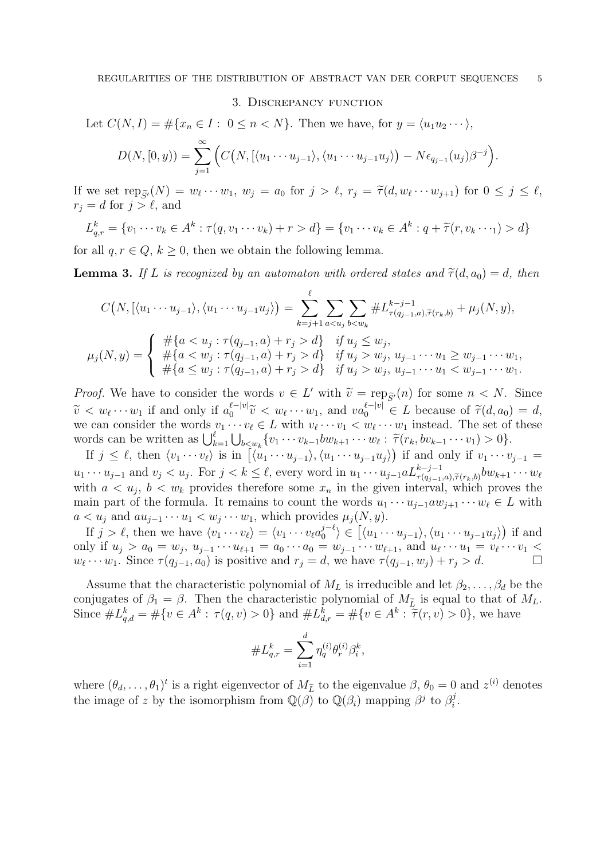#### 3. Discrepancy function

Let  $C(N, I) = \#\{x_n \in I : 0 \le n \le N\}$ . Then we have, for  $y = \langle u_1 u_2 \cdots \rangle$ ,

$$
D(N, [0, y)) = \sum_{j=1}^{\infty} \Big( C\big(N, \big[ \langle u_1 \cdots u_{j-1} \rangle, \langle u_1 \cdots u_{j-1} u_j \rangle \big) - N \epsilon_{q_{j-1}}(u_j) \beta^{-j} \Big).
$$

If we set  $\text{rep}_{\widetilde{S}'}(N) = w_{\ell} \cdots w_1$ ,  $w_j = a_0$  for  $j > \ell$ ,  $r_j = \widetilde{\tau}(d, w_{\ell} \cdots w_{j+1})$  for  $0 \le j \le \ell$ ,  $r_j = d$  for  $j > \ell$  and  $r_j = d$  for  $j > \ell$ , and

$$
L_{q,r}^k = \{v_1 \cdots v_k \in A^k : \tau(q, v_1 \cdots v_k) + r > d\} = \{v_1 \cdots v_k \in A^k : q + \tilde{\tau}(r, v_k \cdots 1) > d\}
$$

for all  $q, r \in Q, k \geq 0$ , then we obtain the following lemma.

**Lemma 3.** If L is recognized by an automaton with ordered states and  $\tilde{\tau}(d, a_0) = d$ , then

$$
C(N, \left[ \langle u_1 \cdots u_{j-1} \rangle, \langle u_1 \cdots u_{j-1} u_j \rangle \right) = \sum_{k=j+1}^{\ell} \sum_{a < u_j} \sum_{b < w_k} \# L_{\tau(q_{j-1}, a), \tilde{\tau}(r_k, b)}^{k-j-1} + \mu_j(N, y),
$$
\n
$$
\mu_j(N, y) = \begin{cases} \# \{ a < u_j : \tau(q_{j-1}, a) + r_j > d \} & \text{if } u_j \leq w_j, \\ \# \{ a < w_j : \tau(q_{j-1}, a) + r_j > d \} & \text{if } u_j > w_j, u_{j-1} \cdots u_1 \geq w_{j-1} \cdots w_1, \\ \# \{ a \leq w_j : \tau(q_{j-1}, a) + r_j > d \} & \text{if } u_j > w_j, u_{j-1} \cdots u_1 < w_{j-1} \cdots w_1. \end{cases}
$$

*Proof.* We have to consider the words  $v \in L'$  with  $\widetilde{v} = \text{rep}_{\widetilde{S}'}(n)$  for some  $n < N$ . Since  $\widetilde{v} = \text{rep}_{\widetilde{S}'}(n)$  for some  $n < N$ .  $\widetilde{v} < w_{\ell} \cdots w_1$  if and only if  $a_0^{\ell - |v|}$ <br>we can consider the words  $v_{\ell} \cdots v_n$  $\tilde{v} < w_{\ell} \cdots w_1$  if and only if  $a_0^{\ell - |v|} \tilde{v} < w_{\ell} \cdots w_1$ , and  $va_0^{\ell - |v|} \in L$  because of  $\tilde{\tau}(d, a_0) = d$ , we can consider the words  $v_1 \cdots v_{\ell} \in L$  with  $v_{\ell} \cdots v_1 < w_{\ell} \cdots w_1$  instead. The set of these words can be written as  $\bigcup_{k=1}^{\ell} \bigcup_{b \leq w_k} \{v_1 \cdots v_{k-1}bw_{k+1} \cdots w_{\ell} : \tilde{\tau}(r_k, bv_{k-1} \cdots v_1) > 0\}.$ 

If  $j \leq \ell$ , then  $\langle v_1 \cdots v_\ell \rangle$  is in  $\langle u_1 \cdots u_{j-1} \rangle$ ,  $\langle u_1 \cdots u_{j-1} u_j \rangle$  if and only if  $v_1 \cdots v_{j-1} =$  $u_1 \cdots u_{j-1}$  and  $v_j < u_j$ . For  $j < k \leq \ell$ , every word in  $u_1 \cdots u_{j-1} a L_{\tau(q_{j-1},a),\tilde{\tau}(r_k,b)}^{k-j-1} b w_{k+1} \cdots w_{\ell}$ with  $a < u_j$ ,  $b < w_k$  provides therefore some  $x_n$  in the given interval, which proves the main part of the formula. It remains to count the words  $u_1 \cdots u_{i-1} a w_{i+1} \cdots w_\ell \in L$  with  $a < u_j$  and  $au_{j-1} \cdots u_1 < w_j \cdots w_1$ , which provides  $\mu_j(N, y)$ .

If  $j > \ell$ , then we have  $\langle v_1 \cdots v_\ell \rangle = \langle v_1 \cdots v_\ell a_0^{j-\ell}$  $\langle v_0^{j-\ell} \rangle \in \left[ \langle u_1 \cdots u_{j-1} \rangle, \langle u_1 \cdots u_{j-1} u_j \rangle \right)$  if and only if  $u_j > a_0 = w_j$ ,  $u_{j-1} \cdots u_{\ell+1} = a_0 \cdots a_0 = w_{j-1} \cdots w_{\ell+1}$ , and  $u_{\ell} \cdots u_1 = v_{\ell} \cdots v_1$  $w_{\ell} \cdots w_1$ . Since  $\tau (q_{j-1}, a_0)$  is positive and  $r_j = d$ , we have  $\tau (q_{j-1}, w_j) + r_j > d$ .

Assume that the characteristic polynomial of  $M_L$  is irreducible and let  $\beta_2, \ldots, \beta_d$  be the conjugates of  $\beta_1 = \beta$ . Then the characteristic polynomial of  $M_{\tilde{L}}$  is equal to that of  $M_L$ . Since  $\#L_{q,d}^k = \#\{v \in A^k : \tau(q,v) > 0\}$  and  $\#L_{d,r}^k = \#\{v \in A^k : \tilde{\tau}(r,v) > 0\}$ , we have

$$
\#L_{q,r}^k = \sum_{i=1}^d \eta_q^{(i)} \theta_r^{(i)} \beta_i^k,
$$

where  $(\theta_d, \ldots, \theta_1)^t$  is a right eigenvector of  $M_{\tilde{L}}$  to the eigenvalue  $\beta$ ,  $\theta_0 = 0$  and  $z^{(i)}$  denotes the image of z by the isomorphism from  $\mathbb{Q}(\beta)$  to  $\mathbb{Q}(\beta_i)$  mapping  $\beta^j$  to  $\beta_i^j$  $r_i^j$  .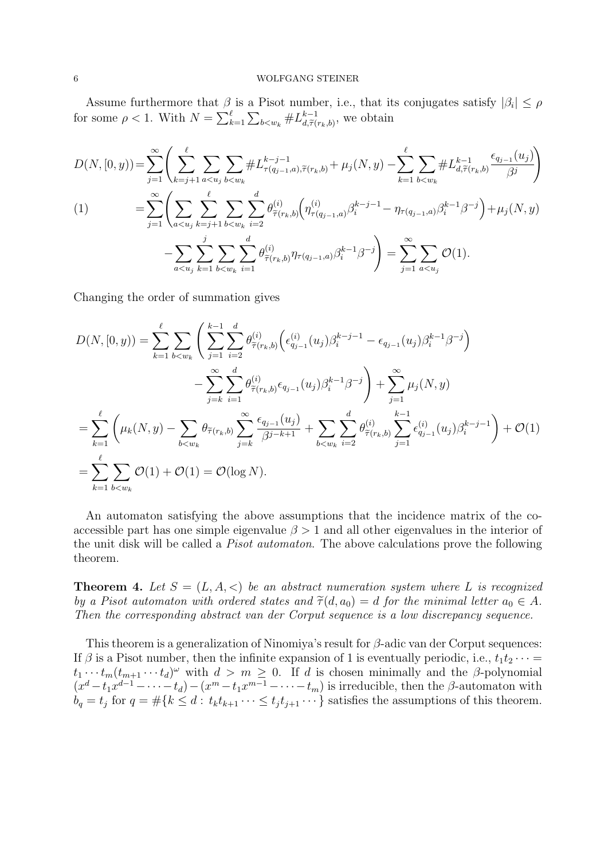Assume furthermore that  $\beta$  is a Pisot number, i.e., that its conjugates satisfy  $|\beta_i| \leq \rho$ for some  $\rho < 1$ . With  $N = \sum_{k=1}^{\ell} \sum_{b \lt w_k} \# L_{d, \widetilde{\tau}}^{k-1}$  $_{d,\widetilde{\tau}(r_k,b)}^{k-1}$ , we obtain

$$
D(N, [0, y)) = \sum_{j=1}^{\infty} \left( \sum_{k=j+1}^{\ell} \sum_{a < u_j} \sum_{b < w_k} \# L_{\tau(q_{j-1}, a), \tilde{\tau}(r_k, b)}^{k-j-1} + \mu_j(N, y) - \sum_{k=1}^{\ell} \sum_{b < w_k} \# L_{d, \tilde{\tau}(r_k, b)}^{k-1} \frac{\epsilon_{q_{j-1}}(u_j)}{\beta^j} \right)
$$
\n
$$
(1) \qquad = \sum_{j=1}^{\infty} \left( \sum_{a < u_j} \sum_{k=j+1}^{\ell} \sum_{b < w_k} \sum_{i=2}^{d} \theta_{\tilde{\tau}(r_k, b)}^{(i)} \left( \eta_{\tau(q_{j-1}, a)}^{(i)} \beta_i^{k-j-1} - \eta_{\tau(q_{j-1}, a)} \beta_i^{k-1} \beta^{-j} \right) + \mu_j(N, y) - \sum_{a < u_j} \sum_{k=1}^{\ell} \sum_{b < w_k} \sum_{i=1}^{\ell} \theta_{\tilde{\tau}(r_k, b)}^{(i)} \eta_{\tau(q_{j-1}, a)} \beta_i^{k-1} \beta^{-j} \right) = \sum_{j=1}^{\infty} \sum_{a < u_j} \mathcal{O}(1).
$$

Changing the order of summation gives

$$
D(N, [0, y)) = \sum_{k=1}^{\ell} \sum_{b \le w_k} \left( \sum_{j=1}^{k-1} \sum_{i=2}^{d} \theta_{\tilde{\tau}(r_k, b)}^{(i)} \left( \epsilon_{q_{j-1}}^{(i)}(u_j) \beta_i^{k-j-1} - \epsilon_{q_{j-1}}(u_j) \beta_i^{k-1} \beta^{-j} \right) - \sum_{j=k}^{\infty} \sum_{i=1}^{d} \theta_{\tilde{\tau}(r_k, b)}^{(i)} \epsilon_{q_{j-1}}(u_j) \beta_i^{k-1} \beta^{-j} \right) + \sum_{j=1}^{\infty} \mu_j(N, y)
$$
  

$$
= \sum_{k=1}^{\ell} \left( \mu_k(N, y) - \sum_{b \le w_k} \theta_{\tilde{\tau}(r_k, b)} \sum_{j=k}^{\infty} \frac{\epsilon_{q_{j-1}}(u_j)}{\beta^{j-k+1}} + \sum_{b \le w_k} \sum_{i=2}^{d} \theta_{\tilde{\tau}(r_k, b)}^{(i)} \sum_{j=1}^{k-1} \epsilon_{q_{j-1}}^{(i)}(u_j) \beta_i^{k-j-1} \right) + \mathcal{O}(1)
$$
  

$$
= \sum_{k=1}^{\ell} \sum_{b \le w_k} \mathcal{O}(1) + \mathcal{O}(1) = \mathcal{O}(\log N).
$$

An automaton satisfying the above assumptions that the incidence matrix of the coaccessible part has one simple eigenvalue  $\beta > 1$  and all other eigenvalues in the interior of the unit disk will be called a Pisot automaton. The above calculations prove the following theorem.

**Theorem 4.** Let  $S = (L, A, \langle)$  be an abstract numeration system where L is recognized by a Pisot automaton with ordered states and  $\tilde{\tau}(d, a_0) = d$  for the minimal letter  $a_0 \in A$ . Then the corresponding abstract van der Corput sequence is a low discrepancy sequence.

This theorem is a generalization of Ninomiya's result for  $\beta$ -adic van der Corput sequences: If  $\beta$  is a Pisot number, then the infinite expansion of 1 is eventually periodic, i.e.,  $t_1t_2 \cdots =$  $t_1 \cdots t_m (t_{m+1} \cdots t_d)^\omega$  with  $d > m \geq 0$ . If d is chosen minimally and the  $\beta$ -polynomial  $(x^d-t_1x^{d-1}-\cdots-t_d)-(x^m-t_1x^{m-1}-\cdots-t_m)$  is irreducible, then the  $\beta$ -automaton with  $b_q = t_j$  for  $q = \#\{k \leq d : t_k t_{k+1} \cdots \leq t_j t_{j+1} \cdots \}$  satisfies the assumptions of this theorem.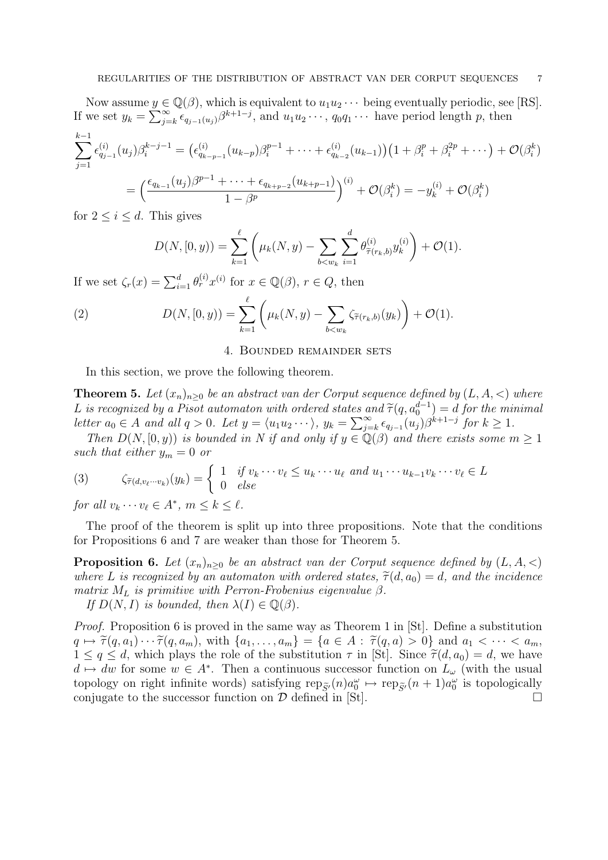Now assume  $y \in \mathbb{Q}(\beta)$ , which is equivalent to  $u_1u_2\cdots$  being eventually periodic, see [RS]. If we set  $y_k = \sum_{j=k}^{\infty} \epsilon_{q_{j-1}(u_j)} \beta^{k+1-j}$ , and  $u_1 u_2 \cdots, q_0 q_1 \cdots$  have period length p, then

$$
\sum_{j=1}^{k-1} \epsilon_{q_{j-1}}^{(i)}(u_j) \beta_i^{k-j-1} = (\epsilon_{q_{k-p-1}}^{(i)}(u_{k-p}) \beta_i^{p-1} + \dots + \epsilon_{q_{k-2}}^{(i)}(u_{k-1}))(1 + \beta_i^p + \beta_i^{2p} + \dots) + \mathcal{O}(\beta_i^k)
$$
  
= 
$$
\left(\frac{\epsilon_{q_{k-1}}(u_j) \beta^{p-1} + \dots + \epsilon_{q_{k+p-2}}(u_{k+p-1})}{1 - \beta^p}\right)^{(i)} + \mathcal{O}(\beta_i^k) = -y_k^{(i)} + \mathcal{O}(\beta_i^k)
$$

for  $2 \leq i \leq d$ . This gives

$$
D(N, [0, y)) = \sum_{k=1}^{\ell} \left( \mu_k(N, y) - \sum_{b < w_k} \sum_{i=1}^{d} \theta_{\widetilde{\tau}(r_k, b)}^{(i)} y_k^{(i)} \right) + \mathcal{O}(1).
$$

If we set  $\zeta_r(x) = \sum_{i=1}^d \theta_r^{(i)} x^{(i)}$  for  $x \in \mathbb{Q}(\beta)$ ,  $r \in Q$ , then

(2) 
$$
D(N, [0, y)) = \sum_{k=1}^{\ell} \left( \mu_k(N, y) - \sum_{b < w_k} \zeta_{\tilde{\tau}(r_k, b)}(y_k) \right) + \mathcal{O}(1).
$$

## 4. Bounded remainder sets

In this section, we prove the following theorem.

**Theorem 5.** Let  $(x_n)_{n\geq 0}$  be an abstract van der Corput sequence defined by  $(L, A, <)$  where L is recognized by a Pisot automaton with ordered states and  $\tilde{\tau}(q, a_0^{d-1}) = d$  for the minimal letter  $a_0 \in A$  and all  $a > 0$ . Let  $y = (y_1, y_2, \ldots)$   $y_n = \sum_{n=0}^{\infty} \epsilon_n (y_n) \beta^{k+1-j}$  for  $k > 1$ letter  $a_0 \in A$  and all  $q > 0$ . Let  $y = \langle u_1 u_2 \cdots \rangle$ ,  $y_k = \sum_{j=k}^{\infty} \epsilon_{q_{j-1}}(u_j) \beta^{k+1-j}$  for  $k \ge 1$ .

Then  $D(N, [0, y))$  is bounded in N if and only if  $y \in \mathbb{Q}(\beta)$  and there exists some  $m \geq 1$ such that either  $y_m = 0$  or

(3) 
$$
\zeta_{\widetilde{\tau}(d,v_{\ell}\cdots v_k)}(y_k) = \begin{cases} 1 & \text{if } v_k \cdots v_{\ell} \le u_k \cdots u_{\ell} \text{ and } u_1 \cdots u_{k-1}v_k \cdots v_{\ell} \in L \\ 0 & \text{else} \end{cases}
$$

for all  $v_k \cdots v_\ell \in A^*$ ,  $m \le k \le \ell$ .

The proof of the theorem is split up into three propositions. Note that the conditions for Propositions 6 and 7 are weaker than those for Theorem 5.

**Proposition 6.** Let  $(x_n)_{n>0}$  be an abstract van der Corput sequence defined by  $(L, A, \langle)$ where L is recognized by an automaton with ordered states,  $\tilde{\tau}(d, a_0) = d$ , and the incidence matrix  $M_L$  is primitive with Perron-Frobenius eigenvalue  $\beta$ .

If  $D(N, I)$  is bounded, then  $\lambda(I) \in \mathbb{Q}(\beta)$ .

*Proof.* Proposition 6 is proved in the same way as Theorem 1 in [St]. Define a substitution  $q \mapsto \widetilde{\tau}(q, a_1) \cdots \widetilde{\tau}(q, a_m)$ , with  $\{a_1, \ldots, a_m\} = \{a \in A : \widetilde{\tau}(q, a) > 0\}$  and  $a_1 < \cdots < a_m$ ,  $1 \le q \le d$ , which plays the role of the substitution  $\tau$  in [St]. Since  $\tilde{\tau}(d, a_0) = d$ , we have  $d \mapsto dw$  for some  $w \in A^*$ . Then a continuous successor function on  $L_{\omega}$  (with the usual topology on right infinite words) satisfying  $\text{rep}_{\tilde{S}'}(n)a_0^{\omega} \mapsto \text{rep}_{\tilde{S}'}(n+1)a_0^{\omega}$  is topologically conjugate to the successor function on  $\mathcal D$  defined in [St].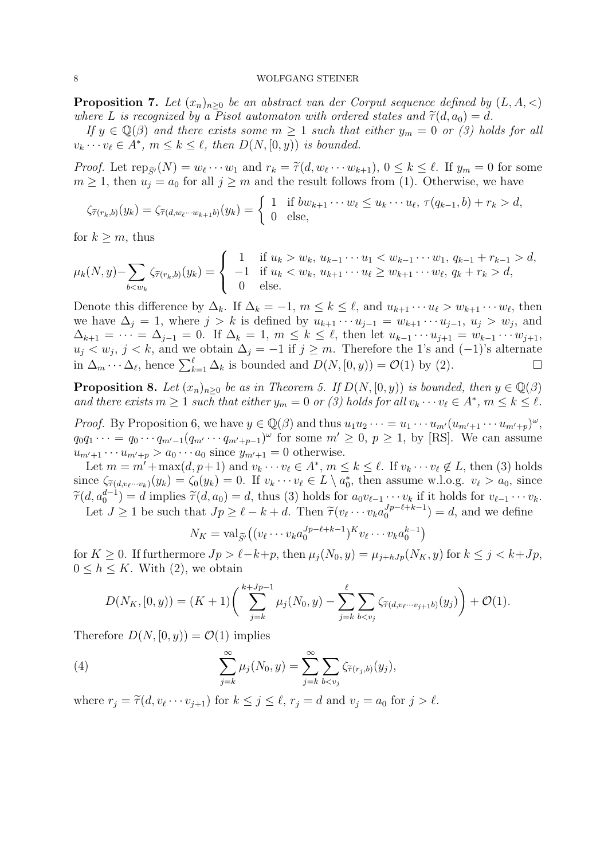**Proposition 7.** Let  $(x_n)_{n>0}$  be an abstract van der Corput sequence defined by  $(L, A, \langle)$ where L is recognized by a Pisot automaton with ordered states and  $\tilde{\tau}(d, a_0) = d$ .

If  $y \in \mathbb{Q}(\beta)$  and there exists some  $m \geq 1$  such that either  $y_m = 0$  or (3) holds for all  $v_k \cdots v_\ell \in A^*$ ,  $m \le k \le \ell$ , then  $D(N, [0, y))$  is bounded.

Proof. Let  $\text{rep}_{\tilde{S}'}(N) = w_{\ell} \cdots w_1$  and  $r_k = \tilde{\tau}(d, w_{\ell} \cdots w_{k+1}), 0 \le k \le \ell$ . If  $y_m = 0$  for some  $m \ge 1$  then  $w = a_0$  for all  $i \ge m$  and the result follows from (1). Otherwise, we have  $m \geq 1$ , then  $u_j = a_0$  for all  $j \geq m$  and the result follows from (1). Otherwise, we have

$$
\zeta_{\widetilde{\tau}(r_k,b)}(y_k) = \zeta_{\widetilde{\tau}(d,w_\ell\cdots w_{k+1}b)}(y_k) = \begin{cases} 1 & \text{if } bw_{k+1}\cdots w_\ell \leq u_k\cdots u_\ell, \ \tau(q_{k-1},b)+r_k > d, \\ 0 & \text{else,} \end{cases}
$$

for  $k \geq m$ , thus

$$
\mu_k(N, y) - \sum_{b < w_k} \zeta_{\tilde{\tau}(r_k, b)}(y_k) = \begin{cases} 1 & \text{if } u_k > w_k, \ u_{k-1} \cdots u_1 < w_{k-1} \cdots w_1, \ q_{k-1} + r_{k-1} > d, \\ -1 & \text{if } u_k < w_k, \ u_{k+1} \cdots u_\ell \ge w_{k+1} \cdots w_\ell, \ q_k + r_k > d, \\ 0 & \text{else.} \end{cases}
$$

Denote this difference by  $\Delta_k$ . If  $\Delta_k = -1$ ,  $m \leq k \leq \ell$ , and  $u_{k+1} \cdots u_{\ell} > w_{k+1} \cdots w_{\ell}$ , then we have  $\Delta_j = 1$ , where  $j > k$  is defined by  $u_{k+1} \cdots u_{j-1} = w_{k+1} \cdots u_{j-1}$ ,  $u_j > w_j$ , and  $\Delta_{k+1} = \cdots = \Delta_{j-1} = 0$ . If  $\Delta_k = 1, m \leq k \leq \ell$ , then let  $u_{k-1} \cdots u_{j+1} = w_{k-1} \cdots w_{j+1}$ ,  $u_j < w_j$ ,  $j < k$ , and we obtain  $\Delta_j = -1$  if  $j \geq m$ . Therefore the 1's and  $(-1)$ 's alternate in  $\Delta_m \cdots \Delta_\ell$ , hence  $\sum_{k=1}^{\ell} \Delta_k$  is bounded and  $D(N, [0, y)) = \mathcal{O}(1)$  by (2). □

**Proposition 8.** Let  $(x_n)_{n>0}$  be as in Theorem 5. If  $D(N, [0, y))$  is bounded, then  $y \in \mathbb{Q}(\beta)$ and there exists  $m \geq 1$  such that either  $y_m = 0$  or (3) holds for all  $v_k \cdots v_\ell \in A^*$ ,  $m \leq k \leq \ell$ .

*Proof.* By Proposition 6, we have  $y \in \mathbb{Q}(\beta)$  and thus  $u_1 u_2 \cdots = u_1 \cdots u_{m'} (u_{m'+1} \cdots u_{m'+p})^{\omega}$ ,  $q_0q_1\cdots = q_0\cdots q_{m'-1}(q_{m'}\cdots q_{m'+p-1})^\omega$  for some  $m' \geq 0, p \geq 1$ , by [RS]. We can assume  $u_{m'+1} \cdots u_{m'+p} > a_0 \cdots a_0$  since  $y_{m'+1} = 0$  otherwise.

Let  $m = m' + \max(d, p+1)$  and  $v_k \cdots v_\ell \in A^*, m \leq k \leq \ell$ . If  $v_k \cdots v_\ell \notin L$ , then (3) holds since  $\zeta_{\tilde{\tau}(d,v_\ell\cdots v_k)}(y_k) = \zeta_0(y_k) = 0$ . If  $v_k \cdots v_\ell \in L \setminus a_0^*$ , then assume w.l.o.g.  $v_\ell > a_0$ , since  $\widetilde{\tau}(d, a_0^{d-1}) = d$  implies  $\widetilde{\tau}(d, a_0) = d$ , thus (3) holds for  $a_0v_{\ell-1} \cdots v_k$  if it holds for  $v_{\ell-1} \cdots v_k$ . Let  $J \ge 1$  be such that  $Jp \ge \ell - k + d$ . Then  $\widetilde{\tau}(v_{\ell} \cdots v_{k} a_{0}^{Jp-\ell+k-1})$  $\binom{Jp-\ell+\kappa-1}{0}$  = d, and we define

$$
N_K = \operatorname{val}_{\widetilde{S}'}\big( (v_\ell \cdots v_k a_0^{Jp-\ell+k-1})^K v_\ell \cdots v_k a_0^{k-1} \big)
$$

for  $K \geq 0$ . If furthermore  $Jp > \ell-k+p$ , then  $\mu_i(N_0, y) = \mu_{i+hJp}(N_K, y)$  for  $k \leq j < k+Jp$ ,  $0 \leq h \leq K$ . With (2), we obtain

$$
D(N_K, [0, y)) = (K+1) \left( \sum_{j=k}^{k+Jp-1} \mu_j(N_0, y) - \sum_{j=k}^{\ell} \sum_{b < v_j} \zeta_{\tilde{\tau}(d, v_{\ell} \cdots v_{j+1} b)}(y_j) \right) + \mathcal{O}(1).
$$

Therefore  $D(N, [0, y)) = \mathcal{O}(1)$  implies

(4) 
$$
\sum_{j=k}^{\infty} \mu_j(N_0, y) = \sum_{j=k}^{\infty} \sum_{b < v_j} \zeta_{\tilde{\tau}(r_j, b)}(y_j),
$$

where  $r_j = \tilde{\tau}(d, v_\ell \cdots v_{j+1})$  for  $k \leq j \leq \ell$ ,  $r_j = d$  and  $v_j = a_0$  for  $j > \ell$ .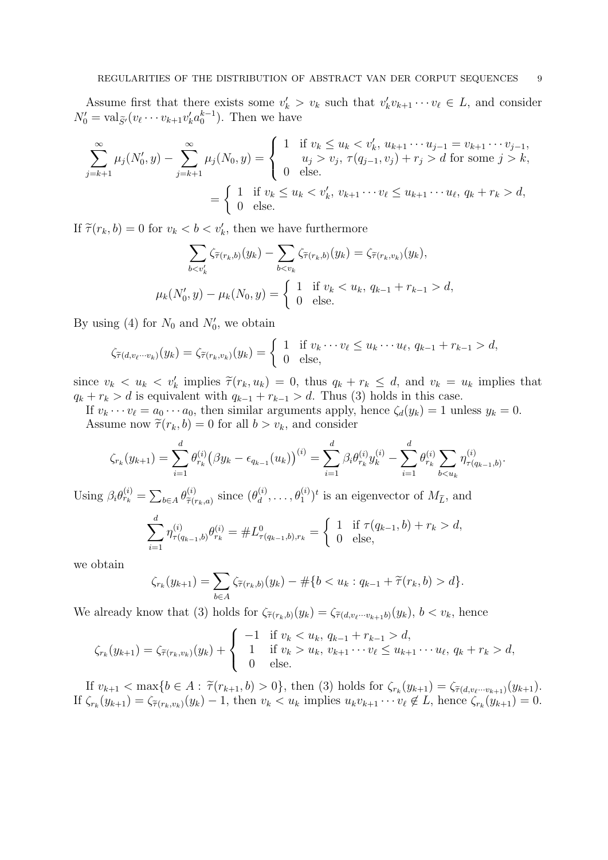Assume first that there exists some  $v'_k > v_k$  such that  $v'_k v_{k+1} \cdots v_\ell \in L$ , and consider  $N'_0 = \text{val}_{\widetilde{S}'}(v_\ell \cdots v_{k+1} v'_k a_0^{k-1}).$  Then we have

$$
\sum_{j=k+1}^{\infty} \mu_j(N'_0, y) - \sum_{j=k+1}^{\infty} \mu_j(N_0, y) = \begin{cases} 1 & \text{if } v_k \le u_k < v'_k, u_{k+1} \cdots u_{j-1} = v_{k+1} \cdots v_{j-1}, \\ u_j > v_j, \ \tau(q_{j-1}, v_j) + r_j > d \text{ for some } j > k, \\ 0 & \text{else.} \end{cases}
$$
\n
$$
= \begin{cases} 1 & \text{if } v_k \le u_k < v'_k, v_{k+1} \cdots v_\ell \le u_{k+1} \cdots u_\ell, q_k + r_k > d, \\ 0 & \text{else.} \end{cases}
$$

If  $\tilde{\tau}(r_k, b) = 0$  for  $v_k < b < v'_k$ , then we have furthermore

$$
\sum_{b  

$$
\mu_k(N'_0, y) - \mu_k(N_0, y) = \begin{cases} 1 & \text{if } v_k < u_k, q_{k-1} + r_{k-1} > d, \\ 0 & \text{else.} \end{cases}
$$
$$

By using (4) for  $N_0$  and  $N'_0$ , we obtain

$$
\zeta_{\widetilde{\tau}(d,v_{\ell}\cdots v_k)}(y_k)=\zeta_{\widetilde{\tau}(r_k,v_k)}(y_k)=\begin{cases} 1 & \text{if } v_k\cdots v_{\ell}\leq u_k\cdots u_{\ell}, q_{k-1}+r_{k-1}>d, \\ 0 & \text{else,} \end{cases}
$$

since  $v_k < u_k < v'_k$  implies  $\tilde{\tau}(r_k, u_k) = 0$ , thus  $q_k + r_k \leq d$ , and  $v_k = u_k$  implies that  $q_k + r_k > d$  is equivalent with  $q_{k-1} + r_{k-1} > d$ . Thus (3) holds in this case.

If  $v_k \cdots v_\ell = a_0 \cdots a_0$ , then similar arguments apply, hence  $\zeta_d(y_k) = 1$  unless  $y_k = 0$ . Assume now  $\widetilde{\tau}(r_k, b) = 0$  for all  $b > v_k$ , and consider

$$
\zeta_{r_k}(y_{k+1}) = \sum_{i=1}^d \theta_{r_k}^{(i)} (\beta y_k - \epsilon_{q_{k-1}}(u_k))^{(i)} = \sum_{i=1}^d \beta_i \theta_{r_k}^{(i)} y_k^{(i)} - \sum_{i=1}^d \theta_{r_k}^{(i)} \sum_{b < u_k} \eta_{\tau(q_{k-1},b)}^{(i)}.
$$

Using  $\beta_i \theta_{r_k}^{(i)} = \sum_{b \in A} \theta_{\widetilde{\tau}(i)}^{(i)}$  $\widetilde{\tau}(r_k, a)$  since  $(\theta_d^{(i)})$  $\theta_d^{(i)}, \ldots, \theta_1^{(i)})^t$  is an eigenvector of  $M_{\widetilde{L}}$ , and

$$
\sum_{i=1}^d \eta_{\tau(q_{k-1},b)}^{(i)} \theta_{r_k}^{(i)} = \#L^0_{\tau(q_{k-1},b),r_k} = \begin{cases} 1 & \text{if } \tau(q_{k-1},b) + r_k > d, \\ 0 & \text{else,} \end{cases}
$$

we obtain

$$
\zeta_{r_k}(y_{k+1}) = \sum_{b \in A} \zeta_{\widetilde{\tau}(r_k, b)}(y_k) - \# \{b < u_k : q_{k-1} + \widetilde{\tau}(r_k, b) > d\}.
$$

We already know that (3) holds for  $\zeta_{\tilde{\tau}(r_k,b)}(y_k) = \zeta_{\tilde{\tau}(d,v_\ell\cdots v_{k+1}b)}(y_k), b < v_k$ , hence

$$
\zeta_{r_k}(y_{k+1}) = \zeta_{\tilde{\tau}(r_k, v_k)}(y_k) + \begin{cases}\n-1 & \text{if } v_k < u_k, q_{k-1} + r_{k-1} > d, \\
1 & \text{if } v_k > u_k, v_{k+1} \cdots v_\ell \le u_{k+1} \cdots u_\ell, q_k + r_k > d, \\
0 & \text{else.} \n\end{cases}
$$

If  $v_{k+1} < \max\{b \in A : \tilde{\tau}(r_{k+1}, b) > 0\}$ , then (3) holds for  $\zeta_{r_k}(y_{k+1}) = \zeta_{\tilde{\tau}(d, v_{\ell}, \dots, v_{k+1})}(y_{k+1}).$ If  $\zeta_{r_k}(y_{k+1}) = \zeta_{\tilde{\tau}(r_k, v_k)}(y_k) - 1$ , then  $v_k < u_k$  implies  $u_k v_{k+1} \cdots v_\ell \notin L$ , hence  $\zeta_{r_k}(y_{k+1}) = 0$ .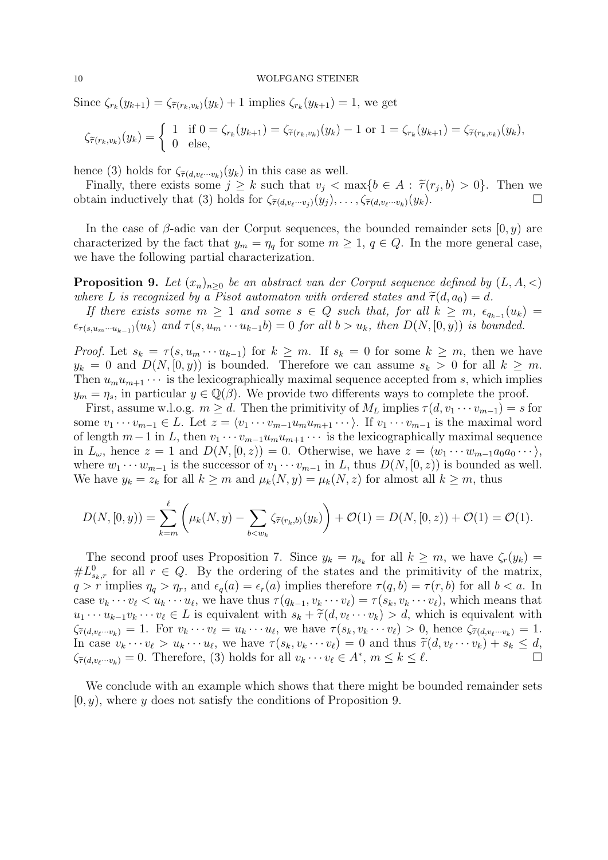Since  $\zeta_{r_k}(y_{k+1}) = \zeta_{\tilde{\tau}(r_k, v_k)}(y_k) + 1$  implies  $\zeta_{r_k}(y_{k+1}) = 1$ , we get

$$
\zeta_{\tilde{\tau}(r_k, v_k)}(y_k) = \begin{cases} 1 & \text{if } 0 = \zeta_{r_k}(y_{k+1}) = \zeta_{\tilde{\tau}(r_k, v_k)}(y_k) - 1 \text{ or } 1 = \zeta_{r_k}(y_{k+1}) = \zeta_{\tilde{\tau}(r_k, v_k)}(y_k), \\ 0 & \text{else,} \end{cases}
$$

hence (3) holds for  $\zeta_{\tilde{\tau}(d,v_{\ell}\cdots v_k)}(y_k)$  in this case as well.

Finally, there exists some  $j \geq k$  such that  $v_j < \max\{b \in A : \tilde{\tau}(r_j, b) > 0\}$ . Then we tain inductively that (3) holds for  $\zeta_{\mathcal{U}}$ ,  $\zeta_{\mathcal{U}}$ ,  $\zeta_{\mathcal{U}}$ ,  $\zeta_{\mathcal{U}}$ ,  $\zeta_{\mathcal{U}}$ obtain inductively that (3) holds for  $\zeta_{\tilde{\tau}(d,v_\ell\cdots v_j)}(y_j), \ldots, \zeta_{\tilde{\tau}(d,v_\ell\cdots v_k)}(y_k).$ 

In the case of  $\beta$ -adic van der Corput sequences, the bounded remainder sets  $[0, y)$  are characterized by the fact that  $y_m = \eta_q$  for some  $m \geq 1, q \in Q$ . In the more general case, we have the following partial characterization.

**Proposition 9.** Let  $(x_n)_{n>0}$  be an abstract van der Corput sequence defined by  $(L, A, \langle)$ where L is recognized by a Pisot automaton with ordered states and  $\tilde{\tau}(d, a_0) = d$ .

If there exists some  $m \geq 1$  and some  $s \in Q$  such that, for all  $k \geq m$ ,  $\epsilon_{q_{k-1}}(u_k) =$  $\epsilon_{\tau(s,u_m\cdots u_{k-1})}(u_k)$  and  $\tau(s,u_m\cdots u_{k-1}b)=0$  for all  $b>u_k$ , then  $D(N,[0,y))$  is bounded.

*Proof.* Let  $s_k = \tau(s, u_m \cdots u_{k-1})$  for  $k \geq m$ . If  $s_k = 0$  for some  $k \geq m$ , then we have  $y_k = 0$  and  $D(N, [0, y))$  is bounded. Therefore we can assume  $s_k > 0$  for all  $k \geq m$ . Then  $u_m u_{m+1} \cdots$  is the lexicographically maximal sequence accepted from s, which implies  $y_m = \eta_s$ , in particular  $y \in \mathbb{Q}(\beta)$ . We provide two differents ways to complete the proof.

First, assume w.l.o.g.  $m \geq d$ . Then the primitivity of  $M_L$  implies  $\tau(d, v_1 \cdots v_{m-1}) = s$  for some  $v_1 \cdots v_{m-1} \in L$ . Let  $z = \langle v_1 \cdots v_{m-1} u_m u_{m+1} \cdots \rangle$ . If  $v_1 \cdots v_{m-1}$  is the maximal word of length  $m-1$  in L, then  $v_1 \cdots v_{m-1}u_m u_{m+1} \cdots$  is the lexicographically maximal sequence in  $L_{\omega}$ , hence  $z = 1$  and  $D(N, [0, z)) = 0$ . Otherwise, we have  $z = \langle w_1 \cdots w_{m-1} a_0 a_0 \cdots \rangle$ , where  $w_1 \cdots w_{m-1}$  is the successor of  $v_1 \cdots v_{m-1}$  in L, thus  $D(N, [0, z))$  is bounded as well. We have  $y_k = z_k$  for all  $k \geq m$  and  $\mu_k(N, y) = \mu_k(N, z)$  for almost all  $k \geq m$ , thus

$$
D(N, [0, y)) = \sum_{k=m}^{\ell} \left( \mu_k(N, y) - \sum_{b \leq w_k} \zeta_{\tilde{\tau}(r_k, b)}(y_k) \right) + \mathcal{O}(1) = D(N, [0, z)) + \mathcal{O}(1) = \mathcal{O}(1).
$$

The second proof uses Proposition 7. Since  $y_k = \eta_{s_k}$  for all  $k \geq m$ , we have  $\zeta_r(y_k) =$  $\#L_{s_k,r}^0$  for all  $r \in Q$ . By the ordering of the states and the primitivity of the matrix,  $q > r$  implies  $\eta_q > \eta_r$ , and  $\epsilon_q(a) = \epsilon_r(a)$  implies therefore  $\tau(q, b) = \tau(r, b)$  for all  $b < a$ . In case  $v_k \cdots v_\ell < u_k \cdots u_\ell$ , we have thus  $\tau(q_{k-1}, v_k \cdots v_\ell) = \tau(s_k, v_k \cdots v_\ell)$ , which means that  $u_1 \cdots u_{k-1}v_k \cdots v_\ell \in L$  is equivalent with  $s_k + \tilde{\tau}(d, v_\ell \cdots v_k) > d$ , which is equivalent with  $\zeta_{\ell}$ .  $\zeta_{\tilde{\tau}(d,v_\ell\cdots v_k)} = 1.$  For  $v_k \cdots v_\ell = u_k \cdots u_\ell$ , we have  $\tau(s_k, v_k \cdots v_\ell) > 0$ , hence  $\zeta_{\tilde{\tau}(d,v_\ell\cdots v_k)} = 1.$ In case  $v_k \cdots v_\ell > u_k \cdots u_\ell$ , we have  $\tau(s_k, v_k \cdots v_\ell) = 0$  and thus  $\widetilde{\tau}(d, v_\ell \cdots v_k) + s_k \leq d$ ,<br>  $\widetilde{\tau}(d, v_\ell \cdots v_k) = 0$ . Therefore, (3) holds for all  $v_k \cdots v_k \in A^*$ ,  $m \leq k \leq \ell$  $\zeta_{\tilde{\tau}(d,v_\ell\cdots v_k)} = 0.$  Therefore, (3) holds for all  $v_k \cdots v_\ell \in A^*, m \le k \le \ell.$ 

We conclude with an example which shows that there might be bounded remainder sets  $[0, y)$ , where y does not satisfy the conditions of Proposition 9.